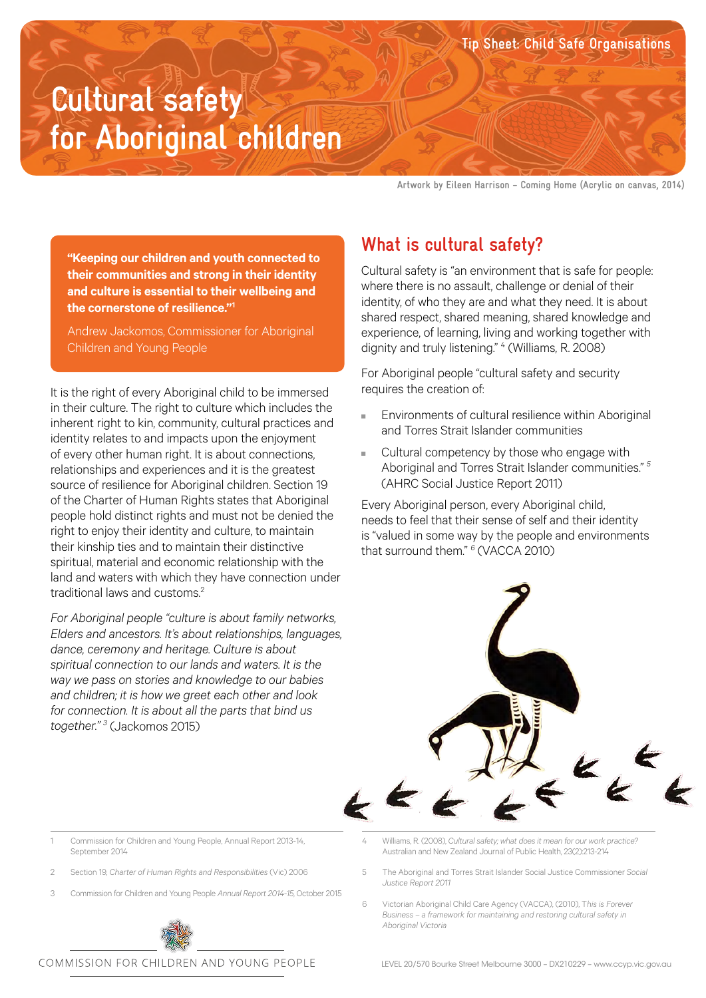**Cultural safety for Aboriginal children**

**Artwork by Eileen Harrison – Coming Home (Acrylic on canvas, 2014)**

**Tip Sheet: Child Safe Organisations**

**"Keeping our children and youth connected to their communities and strong in their identity and culture is essential to their wellbeing and the cornerstone of resilience."1**

Andrew Jackomos, Commissioner for Aboriginal Children and Young People

It is the right of every Aboriginal child to be immersed in their culture. The right to culture which includes the inherent right to kin, community, cultural practices and identity relates to and impacts upon the enjoyment of every other human right. It is about connections, relationships and experiences and it is the greatest source of resilience for Aboriginal children. Section 19 of the Charter of Human Rights states that Aboriginal people hold distinct rights and must not be denied the right to enjoy their identity and culture, to maintain their kinship ties and to maintain their distinctive spiritual, material and economic relationship with the land and waters with which they have connection under traditional laws and customs<sup>2</sup>

*For Aboriginal people "culture is about family networks, Elders and ancestors. It's about relationships, languages, dance, ceremony and heritage. Culture is about spiritual connection to our lands and waters. It is the way we pass on stories and knowledge to our babies and children; it is how we greet each other and look for connection. It is about all the parts that bind us together." 3* (Jackomos 2015)

## **What is cultural safety?**

Cultural safety is "an environment that is safe for people: where there is no assault, challenge or denial of their identity, of who they are and what they need. It is about shared respect, shared meaning, shared knowledge and experience, of learning, living and working together with dignity and truly listening." 4 (Williams, R. 2008)

For Aboriginal people "cultural safety and security requires the creation of:

- Environments of cultural resilience within Aboriginal and Torres Strait Islander communities
- Cultural competency by those who engage with Aboriginal and Torres Strait Islander communities." *<sup>5</sup>* (AHRC Social Justice Report 2011)

Every Aboriginal person, every Aboriginal child, needs to feel that their sense of self and their identity is "valued in some way by the people and environments that surround them." *<sup>6</sup>* (VACCA 2010)



1 Commission for Children and Young People, Annual Report 2013-14, September 2014

- 2 Section 19, *Charter of Human Rights and Responsibilities* (Vic) 2006
- 3 Commission for Children and Young People *Annual Report 2014-15*, October 2015



4 Williams, R. (2008), *Cultural safety; what does it mean for our work practice?* Australian and New Zealand Journal of Public Health, 23(2):213-214

- 5 The Aboriginal and Torres Strait Islander Social Justice Commissioner *Social Justice Report 2011*
- 6 Victorian Aboriginal Child Care Agency (VACCA), (2010), T*his is Forever Business – a framework for maintaining and restoring cultural safety in Aboriginal Victoria*

COMMISSION FOR CHILDREN AND YOUNG PEOPLE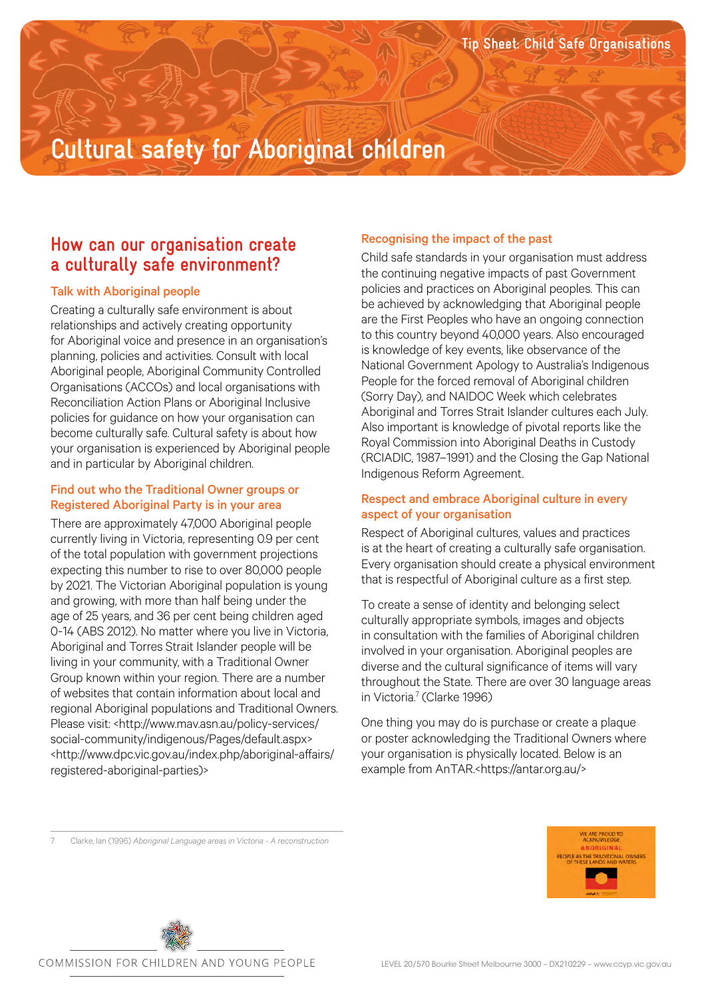# **Cultural safety for Aboriginal children**

## **How can our organisation create a culturally safe environment?**

#### Talk with Aboriginal people

Creating a culturally safe environment is about relationships and actively creating opportunity for Aboriginal voice and presence in an organisation's planning, policies and activities. Consult with local Aboriginal people, Aboriginal Community Controlled Organisations (ACCOs) and local organisations with Reconciliation Action Plans or Aboriginal Inclusive policies for guidance on how your organisation can become culturally safe. Cultural safety is about how your organisation is experienced by Aboriginal people and in particular by Aboriginal children.

#### Find out who the Traditional Owner groups or Registered Aboriginal Party is in your area

There are approximately 47,000 Aboriginal people currently living in Victoria, representing 0.9 per cent of the total population with government projections expecting this number to rise to over 80,000 people by 2021. The Victorian Aboriginal population is young and growing, with more than half being under the age of 25 years, and 36 per cent being children aged 0-14 (ABS 2012). No matter where you live in Victoria, Aboriginal and Torres Strait Islander people will be living in your community, with a Traditional Owner Group known within your region. There are a number of websites that contain information about local and regional Aboriginal populations and Traditional Owners. Please visit: <http://www.mav.asn.au/policy-services/ social-community/indigenous/Pages/default.aspx> <http://www.dpc.vic.gov.au/index.php/aboriginal-affairs/ registered-aboriginal-parties)>

### Recognising the impact of the past

Child safe standards in your organisation must address the continuing negative impacts of past Government policies and practices on Aboriginal peoples. This can be achieved by acknowledging that Aboriginal people are the First Peoples who have an ongoing connection to this country beyond 40,000 years. Also encouraged is knowledge of key events, like observance of the National Government Apology to Australia's Indigenous People for the forced removal of Aboriginal children (Sorry Day), and NAIDOC Week which celebrates Aboriginal and Torres Strait Islander cultures each July. Also important is knowledge of pivotal reports like the Royal Commission into Aboriginal Deaths in Custody (RCIADIC, 1987–1991) and the Closing the Gap National Indigenous Reform Agreement.

### Respect and embrace Aboriginal culture in every aspect of your organisation

Respect of Aboriginal cultures, values and practices is at the heart of creating a culturally safe organisation. Every organisation should create a physical environment that is respectful of Aboriginal culture as a first step.

To create a sense of identity and belonging select culturally appropriate symbols, images and objects in consultation with the families of Aboriginal children involved in your organisation. Aboriginal peoples are diverse and the cultural significance of items will vary throughout the State. There are over 30 language areas in Victoria.<sup>7</sup> (Clarke 1996)

One thing you may do is purchase or create a plaque or poster acknowledging the Traditional Owners where your organisation is physically located. Below is an example from AnTAR.<https://antar.org.au/>

7 Clarke, Ian (1996) *Aboriginal Language areas in Victoria - A reconstruction* 



COMMISSION FOR CHILDREN AND YOUNG PEOPLE